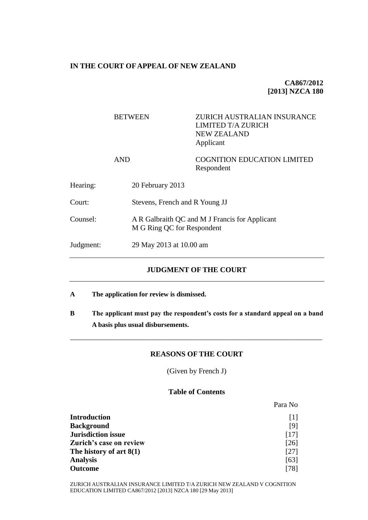#### **IN THE COURT OF APPEAL OF NEW ZEALAND**

# **CA867/2012 [2013] NZCA 180**

Para No

# BETWEEN ZURICH AUSTRALIAN INSURANCE LIMITED T/A ZURICH NEW ZEALAND Applicant AND COGNITION EDUCATION LIMITED Respondent Hearing: 20 February 2013 Court: Stevens, French and R Young JJ Counsel: A R Galbraith QC and M J Francis for Applicant M G Ring QC for Respondent Judgment: 29 May 2013 at 10.00 am

# **JUDGMENT OF THE COURT**

- **A The application for review is dismissed.**
- **B The applicant must pay the respondent's costs for a standard appeal on a band A basis plus usual disbursements.**

\_\_\_\_\_\_\_\_\_\_\_\_\_\_\_\_\_\_\_\_\_\_\_\_\_\_\_\_\_\_\_\_\_\_\_\_\_\_\_\_\_\_\_\_\_\_\_\_\_\_\_\_\_\_\_\_\_\_\_\_\_\_\_\_\_\_\_\_

#### **REASONS OF THE COURT**

(Given by French J)

### **Table of Contents**

| <b>Introduction</b>       | 1                  |
|---------------------------|--------------------|
| <b>Background</b>         | [9]                |
| <b>Jurisdiction issue</b> | [17]               |
| Zurich's case on review   | $\lceil 26 \rceil$ |
| The history of art $8(1)$ | [27]               |
| <b>Analysis</b>           | [63]               |
| <b>Outcome</b>            | [78]               |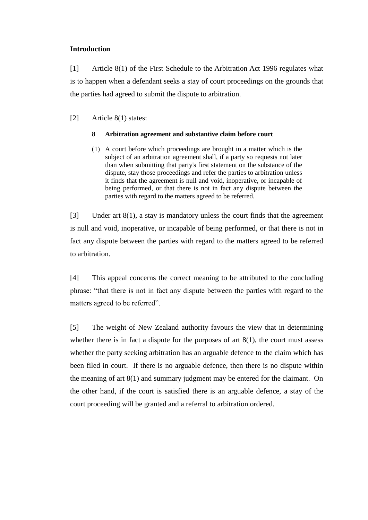## **Introduction**

<span id="page-1-0"></span>[1] Article 8(1) of the First Schedule to the Arbitration Act 1996 regulates what is to happen when a defendant seeks a stay of court proceedings on the grounds that the parties had agreed to submit the dispute to arbitration.

[2] Article 8(1) states:

### **8 Arbitration agreement and substantive claim before court**

(1) A court before which proceedings are brought in a matter which is the subject of an arbitration agreement shall, if a party so requests not later than when submitting that party's first statement on the substance of the dispute, stay those proceedings and refer the parties to arbitration unless it finds that the agreement is null and void, inoperative, or incapable of being performed, or that there is not in fact any dispute between the parties with regard to the matters agreed to be referred.

[3] Under art 8(1), a stay is mandatory unless the court finds that the agreement is null and void, inoperative, or incapable of being performed, or that there is not in fact any dispute between the parties with regard to the matters agreed to be referred to arbitration.

[4] This appeal concerns the correct meaning to be attributed to the concluding phrase: "that there is not in fact any dispute between the parties with regard to the matters agreed to be referred".

[5] The weight of New Zealand authority favours the view that in determining whether there is in fact a dispute for the purposes of art  $8(1)$ , the court must assess whether the party seeking arbitration has an arguable defence to the claim which has been filed in court. If there is no arguable defence, then there is no dispute within the meaning of art 8(1) and summary judgment may be entered for the claimant. On the other hand, if the court is satisfied there is an arguable defence, a stay of the court proceeding will be granted and a referral to arbitration ordered.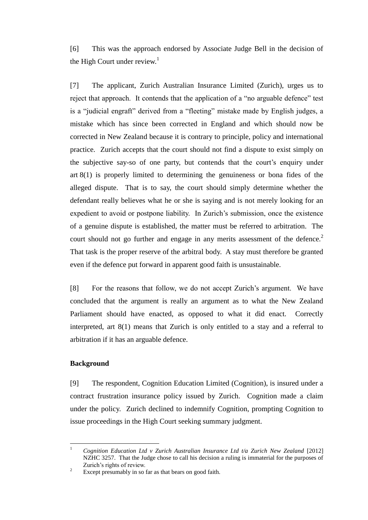[6] This was the approach endorsed by Associate Judge Bell in the decision of the High Court under review. $<sup>1</sup>$ </sup>

[7] The applicant, Zurich Australian Insurance Limited (Zurich), urges us to reject that approach. It contends that the application of a "no arguable defence" test is a "judicial engraft" derived from a "fleeting" mistake made by English judges, a mistake which has since been corrected in England and which should now be corrected in New Zealand because it is contrary to principle, policy and international practice. Zurich accepts that the court should not find a dispute to exist simply on the subjective say-so of one party, but contends that the court's enquiry under art 8(1) is properly limited to determining the genuineness or bona fides of the alleged dispute. That is to say, the court should simply determine whether the defendant really believes what he or she is saying and is not merely looking for an expedient to avoid or postpone liability. In Zurich's submission, once the existence of a genuine dispute is established, the matter must be referred to arbitration. The court should not go further and engage in any merits assessment of the defence.<sup>2</sup> That task is the proper reserve of the arbitral body. A stay must therefore be granted even if the defence put forward in apparent good faith is unsustainable.

[8] For the reasons that follow, we do not accept Zurich's argument. We have concluded that the argument is really an argument as to what the New Zealand Parliament should have enacted, as opposed to what it did enact. Correctly interpreted, art 8(1) means that Zurich is only entitled to a stay and a referral to arbitration if it has an arguable defence.

#### **Background**

<span id="page-2-0"></span>[9] The respondent, Cognition Education Limited (Cognition), is insured under a contract frustration insurance policy issued by Zurich. Cognition made a claim under the policy. Zurich declined to indemnify Cognition, prompting Cognition to issue proceedings in the High Court seeking summary judgment.

 $\mathbf{1}$ <sup>1</sup> *Cognition Education Ltd v Zurich Australian Insurance Ltd t/a Zurich New Zealand* [2012] NZHC 3257. That the Judge chose to call his decision a ruling is immaterial for the purposes of Zurich's rights of review.

<sup>&</sup>lt;sup>2</sup> Except presumably in so far as that bears on good faith.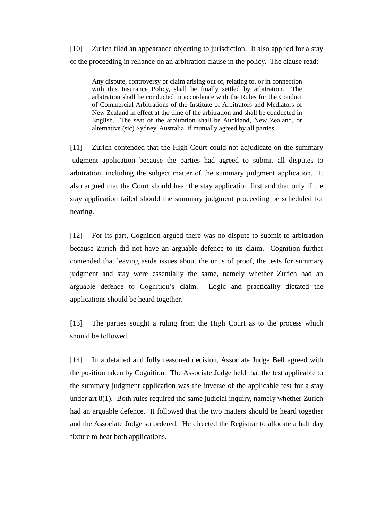[10] Zurich filed an appearance objecting to jurisdiction. It also applied for a stay of the proceeding in reliance on an arbitration clause in the policy. The clause read:

Any dispute, controversy or claim arising out of, relating to, or in connection with this Insurance Policy, shall be finally settled by arbitration. The arbitration shall be conducted in accordance with the Rules for the Conduct of Commercial Arbitrations of the Institute of Arbitrators and Mediators of New Zealand in effect at the time of the arbitration and shall be conducted in English. The seat of the arbitration shall be Auckland, New Zealand, or alternative (sic) Sydney, Australia, if mutually agreed by all parties.

[11] Zurich contended that the High Court could not adjudicate on the summary judgment application because the parties had agreed to submit all disputes to arbitration, including the subject matter of the summary judgment application. It also argued that the Court should hear the stay application first and that only if the stay application failed should the summary judgment proceeding be scheduled for hearing.

[12] For its part, Cognition argued there was no dispute to submit to arbitration because Zurich did not have an arguable defence to its claim. Cognition further contended that leaving aside issues about the onus of proof, the tests for summary judgment and stay were essentially the same, namely whether Zurich had an arguable defence to Cognition's claim. Logic and practicality dictated the applications should be heard together.

[13] The parties sought a ruling from the High Court as to the process which should be followed.

[14] In a detailed and fully reasoned decision, Associate Judge Bell agreed with the position taken by Cognition. The Associate Judge held that the test applicable to the summary judgment application was the inverse of the applicable test for a stay under art 8(1). Both rules required the same judicial inquiry, namely whether Zurich had an arguable defence. It followed that the two matters should be heard together and the Associate Judge so ordered. He directed the Registrar to allocate a half day fixture to hear both applications.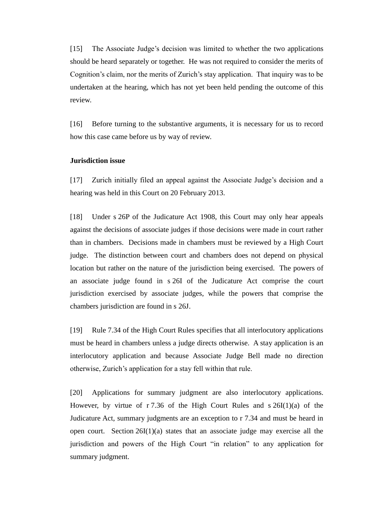[15] The Associate Judge's decision was limited to whether the two applications should be heard separately or together. He was not required to consider the merits of Cognition's claim, nor the merits of Zurich's stay application. That inquiry was to be undertaken at the hearing, which has not yet been held pending the outcome of this review.

[16] Before turning to the substantive arguments, it is necessary for us to record how this case came before us by way of review.

## **Jurisdiction issue**

<span id="page-4-0"></span>[17] Zurich initially filed an appeal against the Associate Judge's decision and a hearing was held in this Court on 20 February 2013.

[18] Under s 26P of the Judicature Act 1908, this Court may only hear appeals against the decisions of associate judges if those decisions were made in court rather than in chambers. Decisions made in chambers must be reviewed by a High Court judge. The distinction between court and chambers does not depend on physical location but rather on the nature of the jurisdiction being exercised. The powers of an associate judge found in s 26I of the Judicature Act comprise the court jurisdiction exercised by associate judges, while the powers that comprise the chambers jurisdiction are found in s 26J.

[19] Rule 7.34 of the High Court Rules specifies that all interlocutory applications must be heard in chambers unless a judge directs otherwise. A stay application is an interlocutory application and because Associate Judge Bell made no direction otherwise, Zurich's application for a stay fell within that rule.

[20] Applications for summary judgment are also interlocutory applications. However, by virtue of  $r$  7.36 of the High Court Rules and  $s$  26I(1)(a) of the Judicature Act, summary judgments are an exception to r 7.34 and must be heard in open court. Section 26I(1)(a) states that an associate judge may exercise all the jurisdiction and powers of the High Court "in relation" to any application for summary judgment.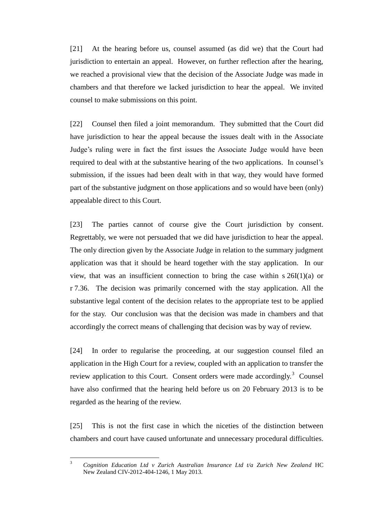[21] At the hearing before us, counsel assumed (as did we) that the Court had jurisdiction to entertain an appeal. However, on further reflection after the hearing, we reached a provisional view that the decision of the Associate Judge was made in chambers and that therefore we lacked jurisdiction to hear the appeal. We invited counsel to make submissions on this point.

[22] Counsel then filed a joint memorandum. They submitted that the Court did have jurisdiction to hear the appeal because the issues dealt with in the Associate Judge's ruling were in fact the first issues the Associate Judge would have been required to deal with at the substantive hearing of the two applications. In counsel's submission, if the issues had been dealt with in that way, they would have formed part of the substantive judgment on those applications and so would have been (only) appealable direct to this Court.

[23] The parties cannot of course give the Court jurisdiction by consent. Regrettably, we were not persuaded that we did have jurisdiction to hear the appeal. The only direction given by the Associate Judge in relation to the summary judgment application was that it should be heard together with the stay application. In our view, that was an insufficient connection to bring the case within s  $26I(1)(a)$  or r 7.36. The decision was primarily concerned with the stay application. All the substantive legal content of the decision relates to the appropriate test to be applied for the stay. Our conclusion was that the decision was made in chambers and that accordingly the correct means of challenging that decision was by way of review.

[24] In order to regularise the proceeding, at our suggestion counsel filed an application in the High Court for a review, coupled with an application to transfer the review application to this Court. Consent orders were made accordingly.<sup>3</sup> Counsel have also confirmed that the hearing held before us on 20 February 2013 is to be regarded as the hearing of the review.

[25] This is not the first case in which the niceties of the distinction between chambers and court have caused unfortunate and unnecessary procedural difficulties.

 $\overline{3}$ <sup>3</sup> *Cognition Education Ltd v Zurich Australian Insurance Ltd t/a Zurich New Zealand* HC New Zealand CIV-2012-404-1246, 1 May 2013.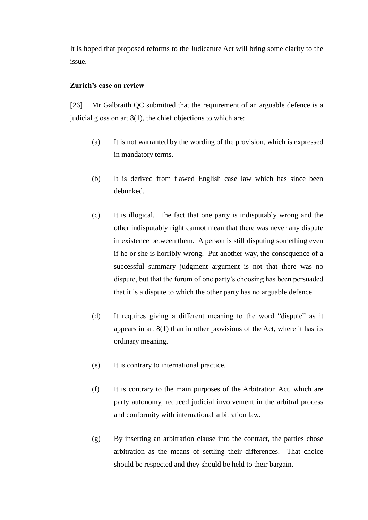It is hoped that proposed reforms to the Judicature Act will bring some clarity to the issue.

## **Zurich's case on review**

<span id="page-6-0"></span>[26] Mr Galbraith QC submitted that the requirement of an arguable defence is a judicial gloss on art  $8(1)$ , the chief objections to which are:

- (a) It is not warranted by the wording of the provision, which is expressed in mandatory terms.
- (b) It is derived from flawed English case law which has since been debunked.
- (c) It is illogical. The fact that one party is indisputably wrong and the other indisputably right cannot mean that there was never any dispute in existence between them. A person is still disputing something even if he or she is horribly wrong. Put another way, the consequence of a successful summary judgment argument is not that there was no dispute, but that the forum of one party's choosing has been persuaded that it is a dispute to which the other party has no arguable defence.
- (d) It requires giving a different meaning to the word "dispute" as it appears in art  $8(1)$  than in other provisions of the Act, where it has its ordinary meaning.
- (e) It is contrary to international practice.
- (f) It is contrary to the main purposes of the Arbitration Act, which are party autonomy, reduced judicial involvement in the arbitral process and conformity with international arbitration law.
- (g) By inserting an arbitration clause into the contract, the parties chose arbitration as the means of settling their differences. That choice should be respected and they should be held to their bargain.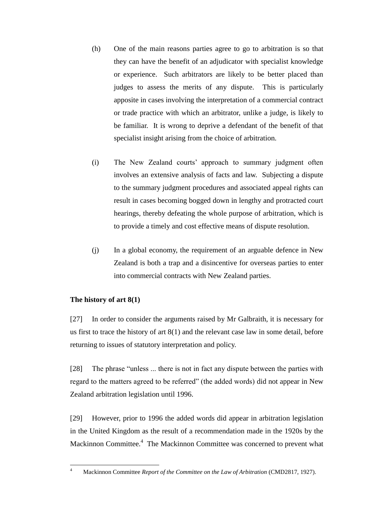- (h) One of the main reasons parties agree to go to arbitration is so that they can have the benefit of an adjudicator with specialist knowledge or experience. Such arbitrators are likely to be better placed than judges to assess the merits of any dispute. This is particularly apposite in cases involving the interpretation of a commercial contract or trade practice with which an arbitrator, unlike a judge, is likely to be familiar. It is wrong to deprive a defendant of the benefit of that specialist insight arising from the choice of arbitration.
- (i) The New Zealand courts' approach to summary judgment often involves an extensive analysis of facts and law. Subjecting a dispute to the summary judgment procedures and associated appeal rights can result in cases becoming bogged down in lengthy and protracted court hearings, thereby defeating the whole purpose of arbitration, which is to provide a timely and cost effective means of dispute resolution.
- (j) In a global economy, the requirement of an arguable defence in New Zealand is both a trap and a disincentive for overseas parties to enter into commercial contracts with New Zealand parties.

# **The history of art 8(1)**

<span id="page-7-0"></span>[27] In order to consider the arguments raised by Mr Galbraith, it is necessary for us first to trace the history of art 8(1) and the relevant case law in some detail, before returning to issues of statutory interpretation and policy.

[28] The phrase "unless ... there is not in fact any dispute between the parties with regard to the matters agreed to be referred" (the added words) did not appear in New Zealand arbitration legislation until 1996.

[29] However, prior to 1996 the added words did appear in arbitration legislation in the United Kingdom as the result of a recommendation made in the 1920s by the Mackinnon Committee.<sup>4</sup> The Mackinnon Committee was concerned to prevent what

 $\overline{4}$ 

<sup>4</sup> Mackinnon Committee *Report of the Committee on the Law of Arbitration* (CMD2817, 1927).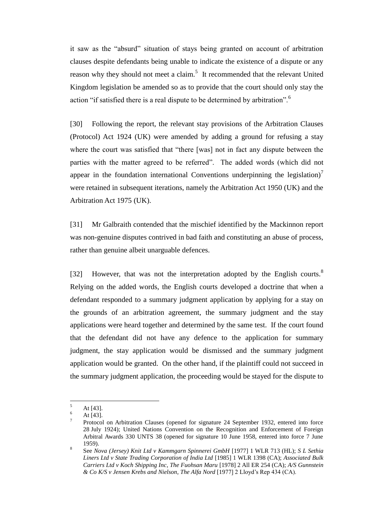it saw as the "absurd" situation of stays being granted on account of arbitration clauses despite defendants being unable to indicate the existence of a dispute or any reason why they should not meet a claim.<sup>5</sup> It recommended that the relevant United Kingdom legislation be amended so as to provide that the court should only stay the action "if satisfied there is a real dispute to be determined by arbitration".<sup>6</sup>

[30] Following the report, the relevant stay provisions of the Arbitration Clauses (Protocol) Act 1924 (UK) were amended by adding a ground for refusing a stay where the court was satisfied that "there [was] not in fact any dispute between the parties with the matter agreed to be referred". The added words (which did not appear in the foundation international Conventions underpinning the legislation)<sup> $\prime$ </sup> were retained in subsequent iterations, namely the Arbitration Act 1950 (UK) and the Arbitration Act 1975 (UK).

[31] Mr Galbraith contended that the mischief identified by the Mackinnon report was non-genuine disputes contrived in bad faith and constituting an abuse of process, rather than genuine albeit unarguable defences.

[32] However, that was not the interpretation adopted by the English courts.<sup>8</sup> Relying on the added words, the English courts developed a doctrine that when a defendant responded to a summary judgment application by applying for a stay on the grounds of an arbitration agreement, the summary judgment and the stay applications were heard together and determined by the same test. If the court found that the defendant did not have any defence to the application for summary judgment, the stay application would be dismissed and the summary judgment application would be granted. On the other hand, if the plaintiff could not succeed in the summary judgment application, the proceeding would be stayed for the dispute to

<sup>5</sup> At [43].

At [43].

<sup>7</sup> Protocol on Arbitration Clauses (opened for signature 24 September 1932, entered into force 28 July 1924); United Nations Convention on the Recognition and Enforcement of Foreign Arbitral Awards 330 UNTS 38 (opened for signature 10 June 1958, entered into force 7 June 1959).

<sup>8</sup> See *Nova (Jersey) Knit Ltd v Kammgarn Spinnerei GmbH* [1977] 1 WLR 713 (HL); *S L Sethia Liners Ltd v State Trading Corporation of India Ltd* [1985] 1 WLR 1398 (CA); *Associated Bulk Carriers Ltd v Koch Shipping Inc*, *The Fuohsan Maru* [1978] 2 All ER 254 (CA); *A/S Gunnstein & Co K/S v Jensen Krebs and Nielson*, *The Alfa Nord* [1977] 2 Lloyd's Rep 434 (CA).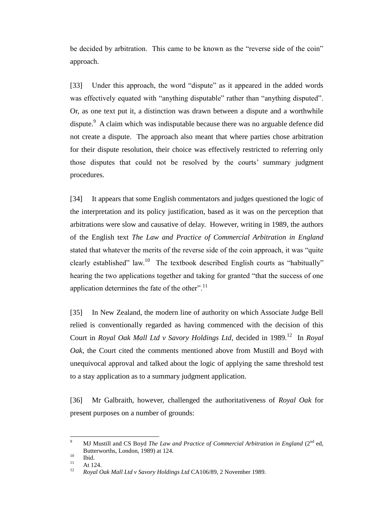be decided by arbitration. This came to be known as the "reverse side of the coin" approach.

[33] Under this approach, the word "dispute" as it appeared in the added words was effectively equated with "anything disputable" rather than "anything disputed". Or, as one text put it, a distinction was drawn between a dispute and a worthwhile dispute.<sup>9</sup> A claim which was indisputable because there was no arguable defence did not create a dispute. The approach also meant that where parties chose arbitration for their dispute resolution, their choice was effectively restricted to referring only those disputes that could not be resolved by the courts' summary judgment procedures.

[34] It appears that some English commentators and judges questioned the logic of the interpretation and its policy justification, based as it was on the perception that arbitrations were slow and causative of delay. However, writing in 1989, the authors of the English text *The Law and Practice of Commercial Arbitration in England*  stated that whatever the merits of the reverse side of the coin approach, it was "quite clearly established" law.<sup>10</sup> The textbook described English courts as "habitually" hearing the two applications together and taking for granted "that the success of one application determines the fate of the other".<sup>11</sup>

[35] In New Zealand, the modern line of authority on which Associate Judge Bell relied is conventionally regarded as having commenced with the decision of this Court in *Royal Oak Mall Ltd v Savory Holdings Ltd*, decided in 1989.<sup>12</sup> In *Royal Oak*, the Court cited the comments mentioned above from Mustill and Boyd with unequivocal approval and talked about the logic of applying the same threshold test to a stay application as to a summary judgment application.

[36] Mr Galbraith, however, challenged the authoritativeness of *Royal Oak* for present purposes on a number of grounds:

 $\overline{Q}$ MJ Mustill and CS Boyd *The Law and Practice of Commercial Arbitration in England* (2<sup>nd</sup> ed, Butterworths, London, 1989) at 124.

 $\frac{10}{11}$  Ibid.

 $11$  At 124.

<sup>12</sup> *Royal Oak Mall Ltd v Savory Holdings Ltd* CA106/89, 2 November 1989.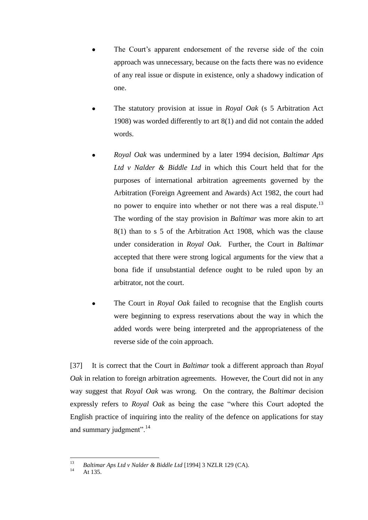- The Court's apparent endorsement of the reverse side of the coin approach was unnecessary, because on the facts there was no evidence of any real issue or dispute in existence, only a shadowy indication of one.
- The statutory provision at issue in *Royal Oak* (s 5 Arbitration Act 1908) was worded differently to art 8(1) and did not contain the added words.
- *Royal Oak* was undermined by a later 1994 decision, *Baltimar Aps Ltd v Nalder & Biddle Ltd* in which this Court held that for the purposes of international arbitration agreements governed by the Arbitration (Foreign Agreement and Awards) Act 1982, the court had no power to enquire into whether or not there was a real dispute.<sup>13</sup> The wording of the stay provision in *Baltimar* was more akin to art 8(1) than to s 5 of the Arbitration Act 1908, which was the clause under consideration in *Royal Oak*. Further, the Court in *Baltimar* accepted that there were strong logical arguments for the view that a bona fide if unsubstantial defence ought to be ruled upon by an arbitrator, not the court.
- The Court in *Royal Oak* failed to recognise that the English courts were beginning to express reservations about the way in which the added words were being interpreted and the appropriateness of the reverse side of the coin approach.

[37] It is correct that the Court in *Baltimar* took a different approach than *Royal Oak* in relation to foreign arbitration agreements. However, the Court did not in any way suggest that *Royal Oak* was wrong. On the contrary, the *Baltimar* decision expressly refers to *Royal Oak* as being the case "where this Court adopted the English practice of inquiring into the reality of the defence on applications for stay and summary judgment".<sup>14</sup>

 $13$ <sup>13</sup> *Baltimar Aps Ltd v Nalder & Biddle Ltd* [1994] 3 NZLR 129 (CA).

At 135.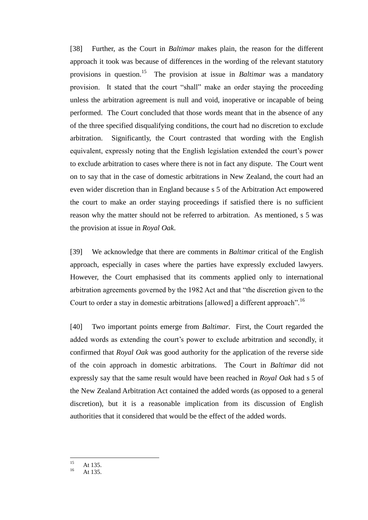[38] Further, as the Court in *Baltimar* makes plain, the reason for the different approach it took was because of differences in the wording of the relevant statutory provisions in question.<sup>15</sup> The provision at issue in *Baltimar* was a mandatory provision. It stated that the court "shall" make an order staying the proceeding unless the arbitration agreement is null and void, inoperative or incapable of being performed. The Court concluded that those words meant that in the absence of any of the three specified disqualifying conditions, the court had no discretion to exclude arbitration. Significantly, the Court contrasted that wording with the English equivalent, expressly noting that the English legislation extended the court's power to exclude arbitration to cases where there is not in fact any dispute. The Court went on to say that in the case of domestic arbitrations in New Zealand, the court had an even wider discretion than in England because s 5 of the Arbitration Act empowered the court to make an order staying proceedings if satisfied there is no sufficient reason why the matter should not be referred to arbitration. As mentioned, s 5 was the provision at issue in *Royal Oak*.

[39] We acknowledge that there are comments in *Baltimar* critical of the English approach, especially in cases where the parties have expressly excluded lawyers. However, the Court emphasised that its comments applied only to international arbitration agreements governed by the 1982 Act and that "the discretion given to the Court to order a stay in domestic arbitrations [allowed] a different approach".<sup>16</sup>

[40] Two important points emerge from *Baltimar*. First, the Court regarded the added words as extending the court's power to exclude arbitration and secondly, it confirmed that *Royal Oak* was good authority for the application of the reverse side of the coin approach in domestic arbitrations. The Court in *Baltimar* did not expressly say that the same result would have been reached in *Royal Oak* had s 5 of the New Zealand Arbitration Act contained the added words (as opposed to a general discretion), but it is a reasonable implication from its discussion of English authorities that it considered that would be the effect of the added words.

 $15$  $15$  At 135.

At 135.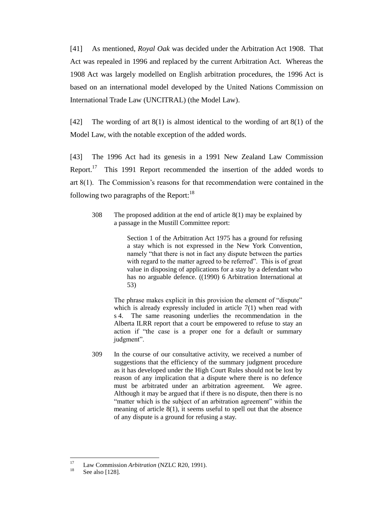[41] As mentioned, *Royal Oak* was decided under the Arbitration Act 1908. That Act was repealed in 1996 and replaced by the current Arbitration Act. Whereas the 1908 Act was largely modelled on English arbitration procedures, the 1996 Act is based on an international model developed by the United Nations Commission on International Trade Law (UNCITRAL) (the Model Law).

[42] The wording of art 8(1) is almost identical to the wording of art 8(1) of the Model Law, with the notable exception of the added words.

[43] The 1996 Act had its genesis in a 1991 New Zealand Law Commission Report.<sup>17</sup> This 1991 Report recommended the insertion of the added words to art 8(1). The Commission's reasons for that recommendation were contained in the following two paragraphs of the Report: $18$ 

308 The proposed addition at the end of article 8(1) may be explained by a passage in the Mustill Committee report:

> Section 1 of the Arbitration Act 1975 has a ground for refusing a stay which is not expressed in the New York Convention, namely "that there is not in fact any dispute between the parties with regard to the matter agreed to be referred". This is of great value in disposing of applications for a stay by a defendant who has no arguable defence. ((1990) 6 Arbitration International at 53)

The phrase makes explicit in this provision the element of "dispute" which is already expressly included in article 7(1) when read with s 4. The same reasoning underlies the recommendation in the Alberta ILRR report that a court be empowered to refuse to stay an action if "the case is a proper one for a default or summary judgment".

309 In the course of our consultative activity, we received a number of suggestions that the efficiency of the summary judgment procedure as it has developed under the High Court Rules should not be lost by reason of any implication that a dispute where there is no defence must be arbitrated under an arbitration agreement. We agree. Although it may be argued that if there is no dispute, then there is no "matter which is the subject of an arbitration agreement" within the meaning of article 8(1), it seems useful to spell out that the absence of any dispute is a ground for refusing a stay.

 $\frac{17}{2}$ <sup>17</sup> Law Commission *Arbitration* (NZLC R20, 1991).

See also [128].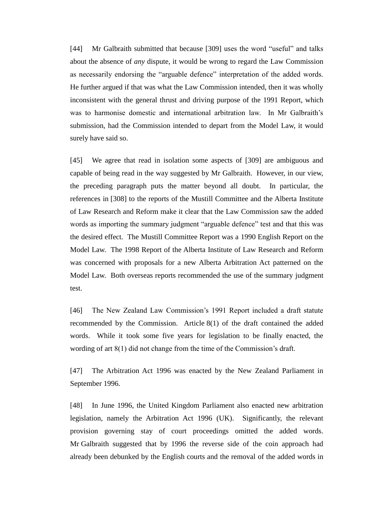[44] Mr Galbraith submitted that because [309] uses the word "useful" and talks about the absence of *any* dispute, it would be wrong to regard the Law Commission as necessarily endorsing the "arguable defence" interpretation of the added words. He further argued if that was what the Law Commission intended, then it was wholly inconsistent with the general thrust and driving purpose of the 1991 Report, which was to harmonise domestic and international arbitration law. In Mr Galbraith's submission, had the Commission intended to depart from the Model Law, it would surely have said so.

[45] We agree that read in isolation some aspects of [309] are ambiguous and capable of being read in the way suggested by Mr Galbraith. However, in our view, the preceding paragraph puts the matter beyond all doubt. In particular, the references in [308] to the reports of the Mustill Committee and the Alberta Institute of Law Research and Reform make it clear that the Law Commission saw the added words as importing the summary judgment "arguable defence" test and that this was the desired effect. The Mustill Committee Report was a 1990 English Report on the Model Law. The 1998 Report of the Alberta Institute of Law Research and Reform was concerned with proposals for a new Alberta Arbitration Act patterned on the Model Law. Both overseas reports recommended the use of the summary judgment test.

[46] The New Zealand Law Commission's 1991 Report included a draft statute recommended by the Commission. Article 8(1) of the draft contained the added words. While it took some five years for legislation to be finally enacted, the wording of art 8(1) did not change from the time of the Commission's draft.

[47] The Arbitration Act 1996 was enacted by the New Zealand Parliament in September 1996.

[48] In June 1996, the United Kingdom Parliament also enacted new arbitration legislation, namely the Arbitration Act 1996 (UK). Significantly, the relevant provision governing stay of court proceedings omitted the added words. Mr Galbraith suggested that by 1996 the reverse side of the coin approach had already been debunked by the English courts and the removal of the added words in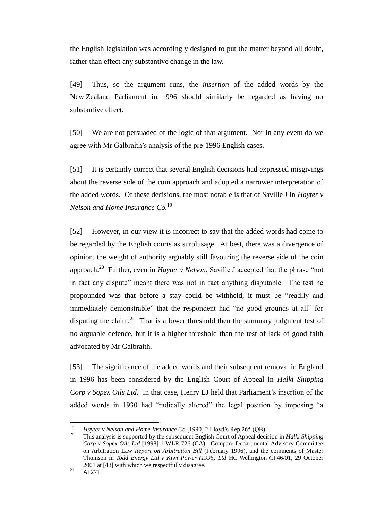the English legislation was accordingly designed to put the matter beyond all doubt, rather than effect any substantive change in the law.

[49] Thus, so the argument runs, the *insertion* of the added words by the New Zealand Parliament in 1996 should similarly be regarded as having no substantive effect.

[50] We are not persuaded of the logic of that argument. Nor in any event do we agree with Mr Galbraith's analysis of the pre-1996 English cases.

[51] It is certainly correct that several English decisions had expressed misgivings about the reverse side of the coin approach and adopted a narrower interpretation of the added words. Of these decisions, the most notable is that of Saville J in *Hayter v Nelson and Home Insurance Co.*<sup>19</sup>

[52] However, in our view it is incorrect to say that the added words had come to be regarded by the English courts as surplusage. At best, there was a divergence of opinion, the weight of authority arguably still favouring the reverse side of the coin approach.<sup>20</sup> Further, even in *Hayter v Nelson*, Saville J accepted that the phrase "not in fact any dispute" meant there was not in fact anything disputable. The test he propounded was that before a stay could be withheld, it must be "readily and immediately demonstrable" that the respondent had "no good grounds at all" for disputing the claim.<sup>21</sup> That is a lower threshold then the summary judgment test of no arguable defence, but it is a higher threshold than the test of lack of good faith advocated by Mr Galbraith.

[53] The significance of the added words and their subsequent removal in England in 1996 has been considered by the English Court of Appeal in *Halki Shipping Corp v Sopex Oils Ltd*. In that case, Henry LJ held that Parliament's insertion of the added words in 1930 had "radically altered" the legal position by imposing "a

<sup>19</sup> <sup>19</sup> *Hayter v Nelson and Home Insurance Co* [1990] 2 Lloyd's Rep 265 (QB).

<sup>20</sup> This analysis is supported by the subsequent English Court of Appeal decision in *Halki Shipping Corp v Sopex Oils Ltd* [1998] 1 WLR 726 (CA). Compare Departmental Advisory Committee on Arbitration Law *Report on Arbitration Bill* (February 1996), and the comments of Master Thomson in *Todd Energy Ltd v Kiwi Power (1995) Ltd* HC Wellington CP46/01, 29 October 2001 at [48] with which we respectfully disagree.

 $21$  At 271.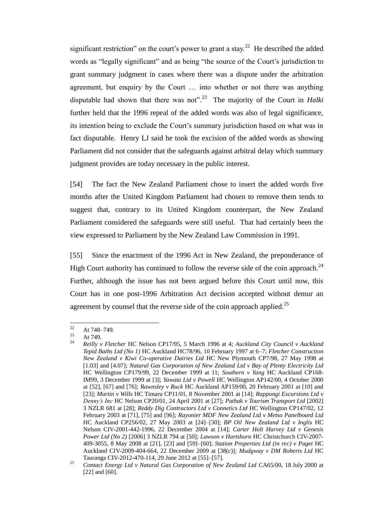significant restriction" on the court's power to grant a stay.<sup>22</sup> He described the added words as "legally significant" and as being "the source of the Court's jurisdiction to grant summary judgment in cases where there was a dispute under the arbitration agreement, but enquiry by the Court … into whether or not there was anything disputable had shown that there was not".<sup>23</sup> The majority of the Court in *Halki* further held that the 1996 repeal of the added words was also of legal significance, its intention being to exclude the Court's summary jurisdiction based on what was in fact disputable. Henry LJ said he took the excision of the added words as showing Parliament did not consider that the safeguards against arbitral delay which summary judgment provides are today necessary in the public interest.

[54] The fact the New Zealand Parliament chose to insert the added words five months after the United Kingdom Parliament had chosen to remove them tends to suggest that, contrary to its United Kingdom counterpart, the New Zealand Parliament considered the safeguards were still useful. That had certainly been the view expressed to Parliament by the New Zealand Law Commission in 1991.

[55] Since the enactment of the 1996 Act in New Zealand, the preponderance of High Court authority has continued to follow the reverse side of the coin approach.<sup>24</sup> Further, although the issue has not been argued before this Court until now, this Court has in one post-1996 Arbitration Act decision accepted without demur an agreement by counsel that the reverse side of the coin approach applied.<sup>25</sup>

<sup>22</sup>  $\frac{22}{23}$  At 748–749.

 $\frac{23}{24}$  At 749.

<sup>24</sup> *Reilly v Fletcher* HC Nelson CP17/95, 5 March 1996 at 4; *Auckland City Council v Auckland Tepid Baths Ltd (No 1)* HC Auckland HC78/96, 10 February 1997 at 6–7; *Fletcher Construction New Zealand v Kiwi Co-operative Dairies Ltd* HC New Plymouth CP7/98, 27 May 1998 at [1.03] and [4.07]; *Natural Gas Corporation of New Zealand Ltd v Bay of Plenty Electricity Ltd* HC Wellington CP179/99, 22 December 1999 at 11; *Southern v Yang* HC Auckland CP168- IM99, 3 December 1999 at [3]; *Yawata Ltd v Powell* HC Wellington AP142/00, 4 October 2000 at [52], [67] and [76]; *Rawnsley v Ruck* HC Auckland AP159/00, 20 February 2001 at [10] and [23]; *Martin v Wills* HC Timaru CP11/01, 8 November 2001 at [14]; *Rappongi Excursions Ltd v Denny's Inc* HC Nelson CP20/01, 24 April 2001 at [27]; *Pathak v Tourism Transport Ltd* [2002] 3 NZLR 681 at [28]; *Reddy Dig Contractors Ltd v Connetics Ltd* HC Wellington CP147/02, 12 February 2003 at [71], [75] and [96]; *Rayonier MDF New Zealand Ltd v Metso Panelboard Ltd* HC Auckland CP256/02, 27 May 2003 at [24]–[30]; *BP Oil New Zealand Ltd v Inglis* HC Nelson CIV-2001-442-1996, 22 December 2004 at [14]; *Carter Holt Harvey Ltd v Genesis Power Ltd (No 2)* [2006] 3 NZLR 794 at [50]; *Lawson v Hartshorn* HC Christchurch CIV-2007- 409-3055, 8 May 2008 at [21], [23] and [59]–[60]; *Station Properties Ltd (in rec) v Paget* HC Auckland CIV-2009-404-664, 22 December 2009 at [38(c)]; *Mudgway v DM Roberts Ltd* HC Tauranga CIV-2012-470-114, 29 June 2012 at [55]–[57].

<sup>25</sup> *Contact Energy Ltd v Natural Gas Corporation of New Zealand Ltd* CA65/00, 18 July 2000 at [22] and [60].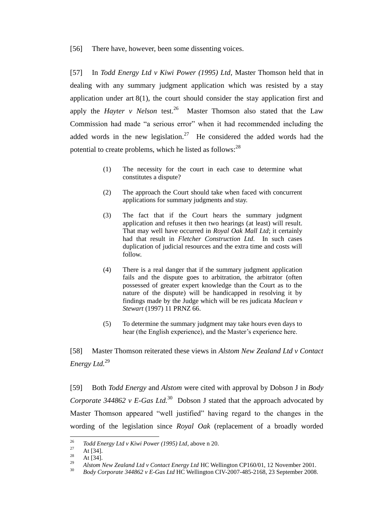[56] There have, however, been some dissenting voices.

[57] In *Todd Energy Ltd v Kiwi Power (1995) Ltd*, Master Thomson held that in dealing with any summary judgment application which was resisted by a stay application under art 8(1), the court should consider the stay application first and apply the *Hayter v Nelson* test.<sup>26</sup> Master Thomson also stated that the Law Commission had made "a serious error" when it had recommended including the added words in the new legislation.<sup>27</sup> He considered the added words had the potential to create problems, which he listed as follows:  $28$ 

- (1) The necessity for the court in each case to determine what constitutes a dispute?
- (2) The approach the Court should take when faced with concurrent applications for summary judgments and stay.
- (3) The fact that if the Court hears the summary judgment application and refuses it then two hearings (at least) will result. That may well have occurred in *Royal Oak Mall Ltd*; it certainly had that result in *Fletcher Construction Ltd*. In such cases duplication of judicial resources and the extra time and costs will follow.
- (4) There is a real danger that if the summary judgment application fails and the dispute goes to arbitration, the arbitrator (often possessed of greater expert knowledge than the Court as to the nature of the dispute) will be handicapped in resolving it by findings made by the Judge which will be res judicata *Maclean v Stewart* (1997) 11 PRNZ 66.
- (5) To determine the summary judgment may take hours even days to hear (the English experience), and the Master's experience here.

[58] Master Thomson reiterated these views in *Alstom New Zealand Ltd v Contact Energy Ltd.*<sup>29</sup>

[59] Both *Todd Energy* and *Alstom* were cited with approval by Dobson J in *Body Corporate 344862 v E-Gas Ltd.*<sup>30</sup> Dobson J stated that the approach advocated by Master Thomson appeared "well justified" having regard to the changes in the wording of the legislation since *Royal Oak* (replacement of a broadly worded

 $26$ <sup>26</sup> *Todd Energy Ltd v Kiwi Power (1995) Ltd*, above n 20.<br>
<sup>27</sup> **At [34]** 

 $\frac{27}{28}$  At [34].

 $\frac{28}{29}$  At [34].

<sup>&</sup>lt;sup>29</sup> *Alstom New Zealand Ltd v Contact Energy Ltd* HC Wellington CP160/01, 12 November 2001.<br><sup>30</sup> Pedu Cauganda 244862 u. E. Cas Ltd UC Wallington CIV 2007 485 2168 22 September 2008.

<sup>30</sup> *Body Corporate 344862 v E-Gas Ltd* HC Wellington CIV-2007-485-2168, 23 September 2008.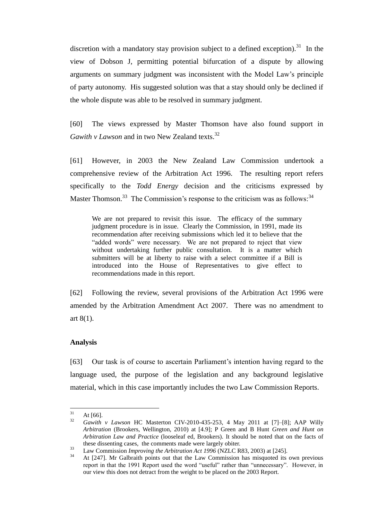discretion with a mandatory stay provision subject to a defined exception).<sup>31</sup> In the view of Dobson J, permitting potential bifurcation of a dispute by allowing arguments on summary judgment was inconsistent with the Model Law's principle of party autonomy. His suggested solution was that a stay should only be declined if the whole dispute was able to be resolved in summary judgment.

[60] The views expressed by Master Thomson have also found support in *Gawith v Lawson* and in two New Zealand texts.<sup>32</sup>

[61] However, in 2003 the New Zealand Law Commission undertook a comprehensive review of the Arbitration Act 1996. The resulting report refers specifically to the *Todd Energy* decision and the criticisms expressed by Master Thomson.<sup>33</sup> The Commission's response to the criticism was as follows:<sup>34</sup>

We are not prepared to revisit this issue. The efficacy of the summary judgment procedure is in issue. Clearly the Commission, in 1991, made its recommendation after receiving submissions which led it to believe that the "added words" were necessary. We are not prepared to reject that view without undertaking further public consultation. It is a matter which submitters will be at liberty to raise with a select committee if a Bill is introduced into the House of Representatives to give effect to recommendations made in this report.

[62] Following the review, several provisions of the Arbitration Act 1996 were amended by the Arbitration Amendment Act 2007. There was no amendment to art 8(1).

#### **Analysis**

<span id="page-17-0"></span>[63] Our task is of course to ascertain Parliament's intention having regard to the language used, the purpose of the legislation and any background legislative material, which in this case importantly includes the two Law Commission Reports.

<sup>31</sup>  $\frac{31}{32}$  At [66].

<sup>32</sup> *Gawith v Lawson* HC Masterton CIV-2010-435-253, 4 May 2011 at [7]–[8]; AAP Willy *Arbitration* (Brookers, Wellington, 2010) at [4.9]; P Green and B Hunt *Green and Hunt on Arbitration Law and Practice* (looseleaf ed, Brookers). It should be noted that on the facts of these dissenting cases,the comments made were largely obiter.

<sup>33</sup> Law Commission *Improving the Arbitration Act 1996* (NZLC R83, 2003) at [245].

<sup>34</sup> At [247]. Mr Galbraith points out that the Law Commission has misquoted its own previous report in that the 1991 Report used the word "useful" rather than "unnecessary". However, in our view this does not detract from the weight to be placed on the 2003 Report.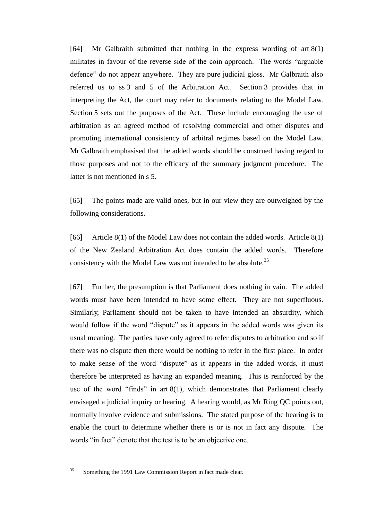[64] Mr Galbraith submitted that nothing in the express wording of art 8(1) militates in favour of the reverse side of the coin approach. The words "arguable defence" do not appear anywhere. They are pure judicial gloss. Mr Galbraith also referred us to ss 3 and 5 of the Arbitration Act. Section 3 provides that in interpreting the Act, the court may refer to documents relating to the Model Law. Section 5 sets out the purposes of the Act. These include encouraging the use of arbitration as an agreed method of resolving commercial and other disputes and promoting international consistency of arbitral regimes based on the Model Law. Mr Galbraith emphasised that the added words should be construed having regard to those purposes and not to the efficacy of the summary judgment procedure. The latter is not mentioned in s 5.

[65] The points made are valid ones, but in our view they are outweighed by the following considerations.

[66] Article 8(1) of the Model Law does not contain the added words. Article 8(1) of the New Zealand Arbitration Act does contain the added words. Therefore consistency with the Model Law was not intended to be absolute.<sup>35</sup>

[67] Further, the presumption is that Parliament does nothing in vain. The added words must have been intended to have some effect. They are not superfluous. Similarly, Parliament should not be taken to have intended an absurdity, which would follow if the word "dispute" as it appears in the added words was given its usual meaning. The parties have only agreed to refer disputes to arbitration and so if there was no dispute then there would be nothing to refer in the first place. In order to make sense of the word "dispute" as it appears in the added words, it must therefore be interpreted as having an expanded meaning. This is reinforced by the use of the word "finds" in art 8(1), which demonstrates that Parliament clearly envisaged a judicial inquiry or hearing. A hearing would, as Mr Ring QC points out, normally involve evidence and submissions. The stated purpose of the hearing is to enable the court to determine whether there is or is not in fact any dispute. The words "in fact" denote that the test is to be an objective one.

 $35$ <sup>35</sup> Something the 1991 Law Commission Report in fact made clear.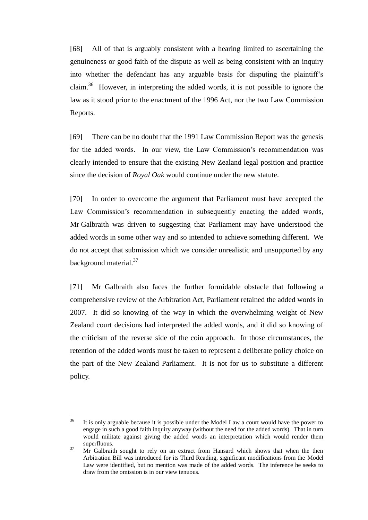[68] All of that is arguably consistent with a hearing limited to ascertaining the genuineness or good faith of the dispute as well as being consistent with an inquiry into whether the defendant has any arguable basis for disputing the plaintiff's claim.<sup>36</sup> However, in interpreting the added words, it is not possible to ignore the law as it stood prior to the enactment of the 1996 Act, nor the two Law Commission Reports.

[69] There can be no doubt that the 1991 Law Commission Report was the genesis for the added words. In our view, the Law Commission's recommendation was clearly intended to ensure that the existing New Zealand legal position and practice since the decision of *Royal Oak* would continue under the new statute.

[70] In order to overcome the argument that Parliament must have accepted the Law Commission's recommendation in subsequently enacting the added words, Mr Galbraith was driven to suggesting that Parliament may have understood the added words in some other way and so intended to achieve something different. We do not accept that submission which we consider unrealistic and unsupported by any background material.<sup>37</sup>

[71] Mr Galbraith also faces the further formidable obstacle that following a comprehensive review of the Arbitration Act, Parliament retained the added words in 2007. It did so knowing of the way in which the overwhelming weight of New Zealand court decisions had interpreted the added words, and it did so knowing of the criticism of the reverse side of the coin approach. In those circumstances, the retention of the added words must be taken to represent a deliberate policy choice on the part of the New Zealand Parliament. It is not for us to substitute a different policy.

 $36$ <sup>36</sup> It is only arguable because it is possible under the Model Law a court would have the power to engage in such a good faith inquiry anyway (without the need for the added words). That in turn would militate against giving the added words an interpretation which would render them superfluous.

 $37$  Mr Galbraith sought to rely on an extract from Hansard which shows that when the then Arbitration Bill was introduced for its Third Reading, significant modifications from the Model Law were identified, but no mention was made of the added words. The inference he seeks to draw from the omission is in our view tenuous.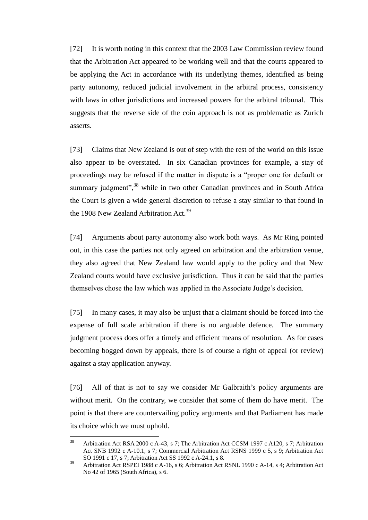[72] It is worth noting in this context that the 2003 Law Commission review found that the Arbitration Act appeared to be working well and that the courts appeared to be applying the Act in accordance with its underlying themes, identified as being party autonomy, reduced judicial involvement in the arbitral process, consistency with laws in other jurisdictions and increased powers for the arbitral tribunal. This suggests that the reverse side of the coin approach is not as problematic as Zurich asserts.

[73] Claims that New Zealand is out of step with the rest of the world on this issue also appear to be overstated. In six Canadian provinces for example, a stay of proceedings may be refused if the matter in dispute is a "proper one for default or summary judgment",<sup>38</sup> while in two other Canadian provinces and in South Africa the Court is given a wide general discretion to refuse a stay similar to that found in the 1908 New Zealand Arbitration Act.<sup>39</sup>

[74] Arguments about party autonomy also work both ways. As Mr Ring pointed out, in this case the parties not only agreed on arbitration and the arbitration venue, they also agreed that New Zealand law would apply to the policy and that New Zealand courts would have exclusive jurisdiction. Thus it can be said that the parties themselves chose the law which was applied in the Associate Judge's decision.

[75] In many cases, it may also be unjust that a claimant should be forced into the expense of full scale arbitration if there is no arguable defence. The summary judgment process does offer a timely and efficient means of resolution. As for cases becoming bogged down by appeals, there is of course a right of appeal (or review) against a stay application anyway.

[76] All of that is not to say we consider Mr Galbraith's policy arguments are without merit. On the contrary, we consider that some of them do have merit. The point is that there are countervailing policy arguments and that Parliament has made its choice which we must uphold.

<sup>38</sup> <sup>38</sup> Arbitration Act RSA 2000 c A-43, s 7; The Arbitration Act CCSM 1997 c A120, s 7; Arbitration Act SNB 1992 c A-10.1, s 7; Commercial Arbitration Act RSNS 1999 c 5, s 9; Arbitration Act SO 1991 c 17, s 7; Arbitration Act SS 1992 c A-24.1, s 8.

<sup>39</sup> Arbitration Act RSPEI 1988 c A-16, s 6; Arbitration Act RSNL 1990 c A-14, s 4; Arbitration Act No 42 of 1965 (South Africa), s 6.